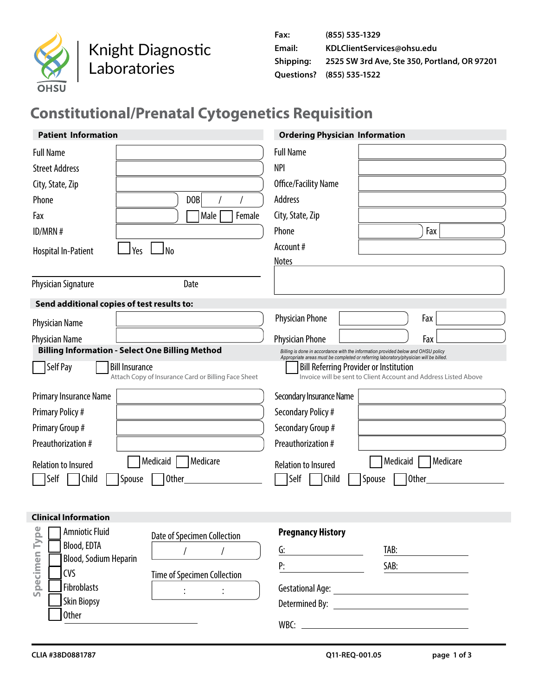

Knight Diagnostic Laboratories

| Fax:      | (855) 535-1329                               |
|-----------|----------------------------------------------|
| Email:    | KDLClientServices@ohsu.edu                   |
| Shipping: | 2525 SW 3rd Ave, Ste 350, Portland, OR 97201 |
|           | Ouestions? (855) 535-1522                    |

# **Constitutional/Prenatal Cytogenetics Requisition**

| <b>Patient Information</b>                                                                                              |                                                     | <b>Ordering Physician Information</b>                                                                                                                                      |          |                                                                 |
|-------------------------------------------------------------------------------------------------------------------------|-----------------------------------------------------|----------------------------------------------------------------------------------------------------------------------------------------------------------------------------|----------|-----------------------------------------------------------------|
| <b>Full Name</b><br><b>Street Address</b><br>City, State, Zip<br>Phone<br>Fax<br>ID/MRN #<br>Yes<br>Hospital In-Patient | <b>DOB</b><br>Male<br>Female<br>l No                | <b>Full Name</b><br><b>NPI</b><br>Office/Facility Name<br>Address<br>City, State, Zip<br>Phone<br>Account #<br><b>Notes</b>                                                |          | Fax                                                             |
| <b>Physician Signature</b>                                                                                              | Date                                                |                                                                                                                                                                            |          |                                                                 |
| Send additional copies of test results to:                                                                              |                                                     |                                                                                                                                                                            |          |                                                                 |
| <b>Physician Name</b>                                                                                                   |                                                     | <b>Physician Phone</b>                                                                                                                                                     |          | Fax                                                             |
| <b>Physician Name</b>                                                                                                   |                                                     | <b>Physician Phone</b>                                                                                                                                                     |          | Fax                                                             |
| <b>Billing Information - Select One Billing Method</b>                                                                  |                                                     | Billing is done in accordance with the information provided below and OHSU policy<br>Appropriate areas must be completed or referring laboratory/physician will be billed. |          |                                                                 |
| Self Pay<br><b>Bill Insurance</b>                                                                                       | Attach Copy of Insurance Card or Billing Face Sheet | <b>Bill Referring Provider or Institution</b>                                                                                                                              |          | Invoice will be sent to Client Account and Address Listed Above |
| Primary Insurance Name                                                                                                  |                                                     | Secondary Insurance Name                                                                                                                                                   |          |                                                                 |
| <b>Primary Policy#</b>                                                                                                  |                                                     | Secondary Policy #                                                                                                                                                         |          |                                                                 |
| Primary Group #                                                                                                         |                                                     | Secondary Group #                                                                                                                                                          |          |                                                                 |
| Preauthorization #                                                                                                      |                                                     | Preauthorization #                                                                                                                                                         |          |                                                                 |
| <b>Relation to Insured</b>                                                                                              | Medicaid<br>Medicare                                | <b>Relation to Insured</b>                                                                                                                                                 | Medicaid | Medicare                                                        |
| Child<br>Spouse<br>Self                                                                                                 | <b>Other</b>                                        | Self<br>Child                                                                                                                                                              | Spouse   | Other                                                           |
|                                                                                                                         |                                                     |                                                                                                                                                                            |          |                                                                 |
| <b>Clinical Information</b>                                                                                             |                                                     |                                                                                                                                                                            |          |                                                                 |
| Type<br><b>Amniotic Fluid</b>                                                                                           | Date of Specimen Collection                         | <b>Pregnancy History</b>                                                                                                                                                   |          |                                                                 |
| Blood, EDTA                                                                                                             | $\sqrt{ }$<br>$\sqrt{2}$                            | G:                                                                                                                                                                         | TAB:     |                                                                 |
| Specimen<br>Blood, Sodium Heparin<br>CVS                                                                                |                                                     | P:                                                                                                                                                                         | SAB:     |                                                                 |
| Fibroblasts                                                                                                             | Time of Specimen Collection                         |                                                                                                                                                                            |          |                                                                 |
| <b>Skin Biopsy</b>                                                                                                      | $\ddot{\cdot}$<br>$\ddot{\cdot}$                    |                                                                                                                                                                            |          |                                                                 |
| <b>Other</b>                                                                                                            |                                                     |                                                                                                                                                                            |          |                                                                 |
|                                                                                                                         |                                                     |                                                                                                                                                                            |          |                                                                 |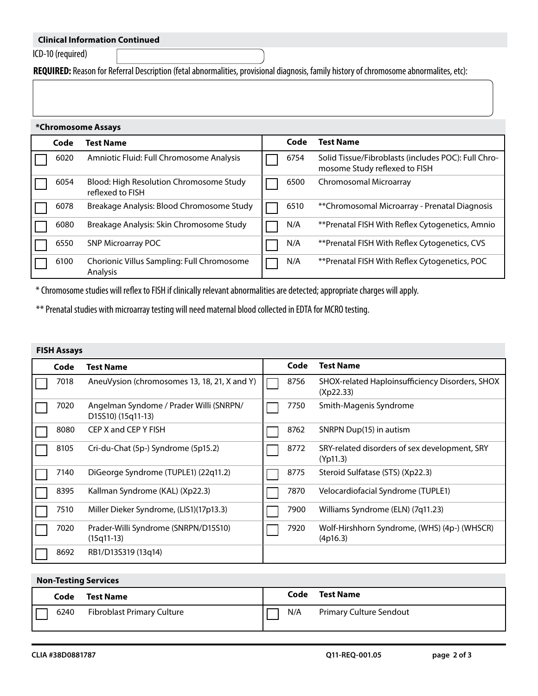## **Clinical Information Continued**

ICD-10 (required)

**REQUIRED:** Reason for Referral Description (fetal abnormalities, provisional diagnosis, family history of chromosome abnormalites, etc):

#### **\*Chromosome Assays**

| Code | <b>Test Name</b>                                            | Code | <b>Test Name</b>                                                                     |
|------|-------------------------------------------------------------|------|--------------------------------------------------------------------------------------|
| 6020 | Amniotic Fluid: Full Chromosome Analysis                    | 6754 | Solid Tissue/Fibroblasts (includes POC): Full Chro-<br>mosome Study reflexed to FISH |
| 6054 | Blood: High Resolution Chromosome Study<br>reflexed to FISH | 6500 | Chromosomal Microarray                                                               |
| 6078 | Breakage Analysis: Blood Chromosome Study                   | 6510 | ** Chromosomal Microarray - Prenatal Diagnosis                                       |
| 6080 | Breakage Analysis: Skin Chromosome Study                    | N/A  | **Prenatal FISH With Reflex Cytogenetics, Amnio                                      |
| 6550 | <b>SNP Microarray POC</b>                                   | N/A  | **Prenatal FISH With Reflex Cytogenetics, CVS                                        |
| 6100 | Chorionic Villus Sampling: Full Chromosome<br>Analysis      | N/A  | **Prenatal FISH With Reflex Cytogenetics, POC                                        |

\* Chromosome studies will reflex to FISH if clinically relevant abnormalities are detected; appropriate charges will apply.

\*\* Prenatal studies with microarray testing will need maternal blood collected in EDTA for MCRO testing.

## **FISH Assays**

| Code | <b>Test Name</b>                                              | Code | <b>Test Name</b>                                             |
|------|---------------------------------------------------------------|------|--------------------------------------------------------------|
| 7018 | AneuVysion (chromosomes 13, 18, 21, X and Y)                  | 8756 | SHOX-related Haploinsufficiency Disorders, SHOX<br>(Xp22.33) |
| 7020 | Angelman Syndome / Prader Willi (SNRPN/<br>D15S10) (15q11-13) | 7750 | Smith-Magenis Syndrome                                       |
| 8080 | CEP X and CEP Y FISH                                          | 8762 | SNRPN Dup(15) in autism                                      |
| 8105 | Cri-du-Chat (5p-) Syndrome (5p15.2)                           | 8772 | SRY-related disorders of sex development, SRY<br>(Yp11.3)    |
| 7140 | DiGeorge Syndrome (TUPLE1) (22q11.2)                          | 8775 | Steroid Sulfatase (STS) (Xp22.3)                             |
| 8395 | Kallman Syndrome (KAL) (Xp22.3)                               | 7870 | Velocardiofacial Syndrome (TUPLE1)                           |
| 7510 | Miller Dieker Syndrome, (LIS1)(17p13.3)                       | 7900 | Williams Syndrome (ELN) (7q11.23)                            |
| 7020 | Prader-Willi Syndrome (SNRPN/D15S10)<br>$(15q11-13)$          | 7920 | Wolf-Hirshhorn Syndrome, (WHS) (4p-) (WHSCR)<br>(4p16.3)     |
| 8692 | RB1/D13S319 (13q14)                                           |      |                                                              |

## **Non-Testing Services**

| Code       | <b>Test Name</b>           |     | Code | Test Name                      |
|------------|----------------------------|-----|------|--------------------------------|
| IΕ<br>6240 | Fibroblast Primary Culture | N/A |      | <b>Primary Culture Sendout</b> |